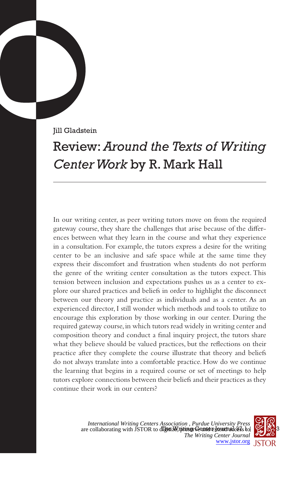Jill Gladstein

## Review: *Around the Texts of Writing Center Work* by R. Mark Hall

In our writing center, as peer writing tutors move on from the required gateway course, they share the challenges that arise because of the differences between what they learn in the course and what they experience in a consultation. For example, the tutors express a desire for the writing center to be an inclusive and safe space while at the same time they express their discomfort and frustration when students do not perform the genre of the writing center consultation as the tutors expect. This tension between inclusion and expectations pushes us as a center to explore our shared practices and beliefs in order to highlight the disconnect between our theory and practice as individuals and as a center. As an experienced director, I still wonder which methods and tools to utilize to encourage this exploration by those working in our center. During the required gateway course, in which tutors read widely in writing center and composition theory and conduct a final inquiry project, the tutors share what they believe should be valued practices, but the reflections on their practice after they complete the course illustrate that theory and beliefs do not always translate into a comfortable practice. How do we continue the learning that begins in a required course or set of meetings to help tutors explore connections between their beliefs and their practices as they continue their work in our centers?

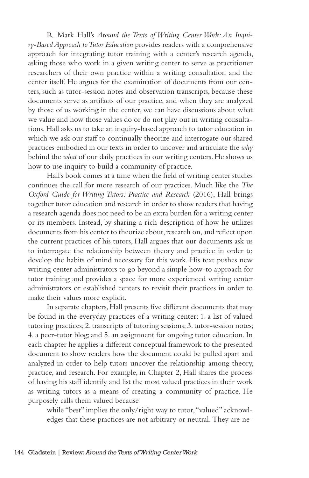R. Mark Hall's *Around the Texts of Writing Center Work: An Inquiry-Based Approach to Tutor Education* provides readers with a comprehensive approach for integrating tutor training with a center's research agenda, asking those who work in a given writing center to serve as practitioner researchers of their own practice within a writing consultation and the center itself. He argues for the examination of documents from our centers, such as tutor-session notes and observation transcripts, because these documents serve as artifacts of our practice, and when they are analyzed by those of us working in the center, we can have discussions about what we value and how those values do or do not play out in writing consultations. Hall asks us to take an inquiry-based approach to tutor education in which we ask our staff to continually theorize and interrogate our shared practices embodied in our texts in order to uncover and articulate the *why* behind the *what* of our daily practices in our writing centers. He shows us how to use inquiry to build a community of practice.

Hall's book comes at a time when the field of writing center studies continues the call for more research of our practices. Much like the *The Oxford Guide for Writing Tutors: Practice and Research* (2016), Hall brings together tutor education and research in order to show readers that having a research agenda does not need to be an extra burden for a writing center or its members. Instead, by sharing a rich description of how he utilizes documents from his center to theorize about, research on, and reflect upon the current practices of his tutors, Hall argues that our documents ask us to interrogate the relationship between theory and practice in order to develop the habits of mind necessary for this work. His text pushes new writing center administrators to go beyond a simple how-to approach for tutor training and provides a space for more experienced writing center administrators or established centers to revisit their practices in order to make their values more explicit.

In separate chapters, Hall presents five different documents that may be found in the everyday practices of a writing center: 1. a list of valued tutoring practices; 2. transcripts of tutoring sessions; 3. tutor-session notes; 4. a peer-tutor blog; and 5. an assignment for ongoing tutor education. In each chapter he applies a different conceptual framework to the presented document to show readers how the document could be pulled apart and analyzed in order to help tutors uncover the relationship among theory, practice, and research. For example, in Chapter 2, Hall shares the process of having his staff identify and list the most valued practices in their work as writing tutors as a means of creating a community of practice. He purposely calls them valued because

while "best" implies the only/right way to tutor, "valued" acknowledges that these practices are not arbitrary or neutral. They are ne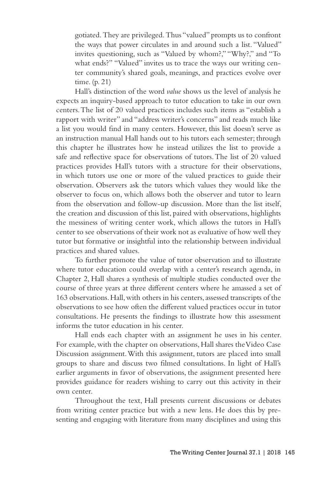gotiated. They are privileged. Thus "valued" prompts us to confront the ways that power circulates in and around such a list. "Valued" invites questioning, such as "Valued by whom?," "Why?," and "To what ends?" "Valued" invites us to trace the ways our writing center community's shared goals, meanings, and practices evolve over time. (p. 21)

Hall's distinction of the word *value* shows us the level of analysis he expects an inquiry-based approach to tutor education to take in our own centers. The list of 20 valued practices includes such items as "establish a rapport with writer" and "address writer's concerns" and reads much like a list you would find in many centers. However, this list doesn't serve as an instruction manual Hall hands out to his tutors each semester; through this chapter he illustrates how he instead utilizes the list to provide a safe and reflective space for observations of tutors. The list of 20 valued practices provides Hall's tutors with a structure for their observations, in which tutors use one or more of the valued practices to guide their observation. Observers ask the tutors which values they would like the observer to focus on, which allows both the observer and tutor to learn from the observation and follow-up discussion. More than the list itself, the creation and discussion of this list, paired with observations, highlights the messiness of writing center work, which allows the tutors in Hall's center to see observations of their work not as evaluative of how well they tutor but formative or insightful into the relationship between individual practices and shared values.

To further promote the value of tutor observation and to illustrate where tutor education could overlap with a center's research agenda, in Chapter 2, Hall shares a synthesis of multiple studies conducted over the course of three years at three different centers where he amassed a set of 163 observations. Hall, with others in his centers, assessed transcripts of the observations to see how often the different valued practices occur in tutor consultations. He presents the findings to illustrate how this assessment informs the tutor education in his center.

Hall ends each chapter with an assignment he uses in his center. For example, with the chapter on observations, Hall shares the Video Case Discussion assignment. With this assignment, tutors are placed into small groups to share and discuss two filmed consultations. In light of Hall's earlier arguments in favor of observations, the assignment presented here provides guidance for readers wishing to carry out this activity in their own center.

Throughout the text, Hall presents current discussions or debates from writing center practice but with a new lens. He does this by presenting and engaging with literature from many disciplines and using this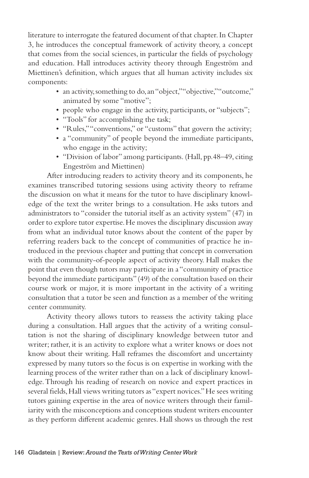literature to interrogate the featured document of that chapter. In Chapter 3, he introduces the conceptual framework of activity theory, a concept that comes from the social sciences, in particular the fields of psychology and education. Hall introduces activity theory through Engeström and Miettinen's definition, which argues that all human activity includes six components:

- an activity, something to do, an "object," "objective," "outcome," animated by some "motive";
- people who engage in the activity, participants, or "subjects";
- "Tools" for accomplishing the task;
- "Rules," "conventions," or "customs" that govern the activity;
- a "community" of people beyond the immediate participants, who engage in the activity;
- "Division of labor" among participants. (Hall, pp.48–49, citing Engeström and Miettinen)

After introducing readers to activity theory and its components, he examines transcribed tutoring sessions using activity theory to reframe the discussion on what it means for the tutor to have disciplinary knowledge of the text the writer brings to a consultation. He asks tutors and administrators to "consider the tutorial itself as an activity system" (47) in order to explore tutor expertise. He moves the disciplinary discussion away from what an individual tutor knows about the content of the paper by referring readers back to the concept of communities of practice he introduced in the previous chapter and putting that concept in conversation with the community-of-people aspect of activity theory. Hall makes the point that even though tutors may participate in a "community of practice beyond the immediate participants" (49) of the consultation based on their course work or major, it is more important in the activity of a writing consultation that a tutor be seen and function as a member of the writing center community.

Activity theory allows tutors to reassess the activity taking place during a consultation. Hall argues that the activity of a writing consultation is not the sharing of disciplinary knowledge between tutor and writer; rather, it is an activity to explore what a writer knows or does not know about their writing. Hall reframes the discomfort and uncertainty expressed by many tutors so the focus is on expertise in working with the learning process of the writer rather than on a lack of disciplinary knowledge. Through his reading of research on novice and expert practices in several fields, Hall views writing tutors as "expert novices." He sees writing tutors gaining expertise in the area of novice writers through their familiarity with the misconceptions and conceptions student writers encounter as they perform different academic genres. Hall shows us through the rest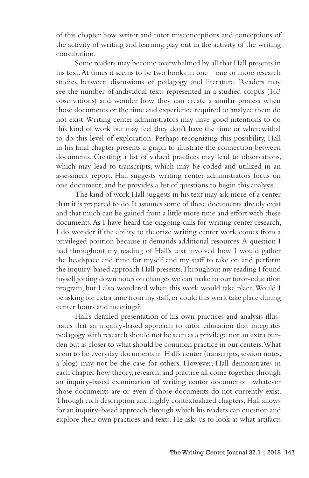of this chapter how writer and tutor misconceptions and conceptions of the activity of writing and learning play out in the activity of the writing consultation.

Some readers may become overwhelmed by all that Hall presents in his text. At times it seems to be two books in one—one or more research studies between discussions of pedagogy and literature. Readers may see the number of individual texts represented in a studied corpus (163 observations) and wonder how they can create a similar process when those documents or the time and experience required to analyze them do not exist. Writing center administrators may have good intentions to do this kind of work but may feel they don't have the time or wherewithal to do this level of exploration. Perhaps recognizing this possibility, Hall in his final chapter presents a graph to illustrate the connection between documents. Creating a list of valued practices may lead to observations, which may lead to transcripts, which may be coded and utilized in an assessment report. Hall suggests writing center administrators focus on one document, and he provides a list of questions to begin this analysis.

The kind of work Hall suggests in his text may ask more of a center than it is prepared to do. It assumes some of these documents already exist and that much can be gained from a little more time and effort with these documents. As I have heard the ongoing calls for writing center research, I do wonder if the ability to theorize writing center work comes from a privileged position because it demands additional resources. A question I had throughout my reading of Hall's text involved how I would gather the headspace and time for myself and my staff to take on and perform the inquiry-based approach Hall presents. Throughout my reading I found myself jotting down notes on changes we can make to our tutor-education program, but I also wondered when this work would take place. Would I be asking for extra time from my staff, or could this work take place during center hours and meetings?

Hall's detailed presentation of his own practices and analysis illustrates that an inquiry-based approach to tutor education that integrates pedagogy with research should not be seen as a privilege nor an extra burden but as closer to what should be common practice in our centers. What seem to be everyday documents in Hall's center (transcripts, session notes, a blog) may not be the case for others. However, Hall demonstrates in each chapter how theory, research, and practice all come together through an inquiry-based examination of writing center documents—whatever those documents are or even if those documents do not currently exist. Through rich description and highly contextualized chapters, Hall allows for an inquiry-based approach through which his readers can question and explore their own practices and texts. He asks us to look at what artifacts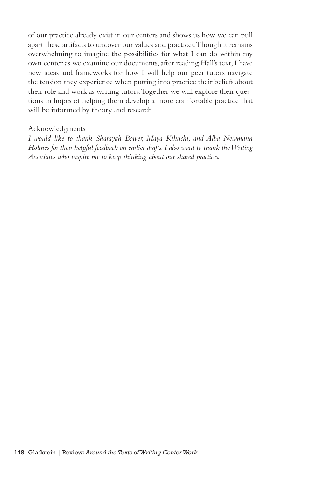of our practice already exist in our centers and shows us how we can pull apart these artifacts to uncover our values and practices. Though it remains overwhelming to imagine the possibilities for what I can do within my own center as we examine our documents, after reading Hall's text, I have new ideas and frameworks for how I will help our peer tutors navigate the tension they experience when putting into practice their beliefs about their role and work as writing tutors. Together we will explore their questions in hopes of helping them develop a more comfortable practice that will be informed by theory and research.

## Acknowledgments

*I would like to thank Sharayah Bower, Maya Kikuchi, and Alba Newmann Holmes for their helpful feedback on earlier drafts. I also want to thank the Writing Associates who inspire me to keep thinking about our shared practices.*